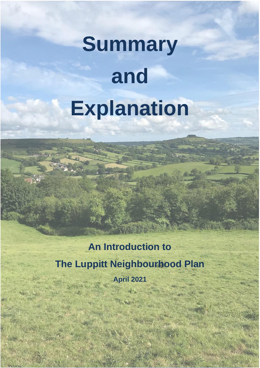# **Summary and Explanation**

## **An Introduction to The Luppitt Neighbourhood Plan April 2021**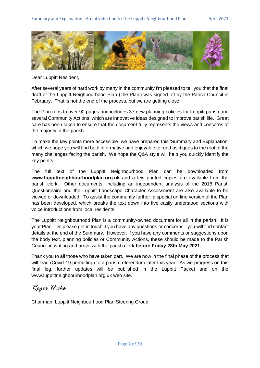

Dear Luppitt Resident,

After several years of hard work by many in the community I'm pleased to tell you that the final draft of the Luppitt Neighbourhood Plan ('the Plan') was signed off by the Parish Council in February. That is not the end of the process, but we are getting close!

The Plan runs to over 90 pages and includes 37 new planning policies for Luppitt parish and several Community Actions, which are innovative ideas designed to improve parish life. Great care has been taken to ensure that the document fully represents the views and concerns of the majority in the parish.

To make the key points more accessible, we have prepared this 'Summary and Explanation' which we hope you will find both informative and enjoyable to read as it goes to the root of the many challenges facing the parish. We hope the Q&A style will help you quickly identify the key points.

The full text of the Luppitt Neighbourhood Plan can be downloaded from **www.luppittneighbourhoodplan.org.uk** and a few printed copies are available from the parish clerk. Other documents, including an independent analysis of the 2018 Parish Questionnaire and the Luppitt Landscape Character Assessment are also available to be viewed or downloaded. To assist the community further, a special on-line version of the Plan has been developed, which breaks the text down into five easily understood sections with voice introductions from local residents.

The Luppitt Neighbourhood Plan is a community-owned document for all in the parish. It is your Plan. Do please get in touch if you have any questions or concerns - you will find contact details at the end of the Summary. However, if you have any comments or suggestions upon the body text, planning policies or Community Actions, these should be made to the Parish Council in writing and arrive with the parish clerk **before Friday 28th May 2021.**

Thank you to all those who have taken part. We are now in the final phase of the process that will lead (Covid-19 permitting) to a parish referendum later this year. As we progress on this final leg, further updates will be published in the Luppitt Packet and on the www.luppittneighbourhoodplan.org.uk web site.

*Roger Hicks*

Chairman, Luppitt Neighbourhood Plan Steering Group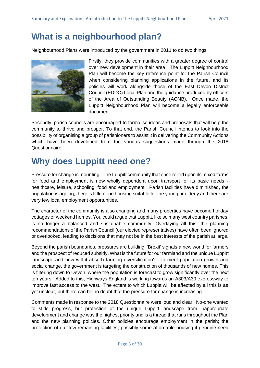## **What is a neighbourhood plan?**

Neighbourhood Plans were introduced by the government in 2011 to do two things.



Firstly, they provide communities with a greater degree of control over new development in their area. The Luppitt Neighbourhood Plan will become the key reference point for the Parish Council when considering planning applications in the future, and its policies will work alongside those of the East Devon District Council (EDDC) Local Plan and the guidance produced by officers of the Area of Outstanding Beauty (AONB). Once made, the Luppitt Neighbourhood Plan will become a legally enforceable document.

Secondly, parish councils are encouraged to formalise ideas and proposals that will help the community to thrive and prosper. To that end, the Parish Council intends to look into the possibility of organising a group of parishioners to assist it in delivering the Community Actions which have been developed from the various suggestions made through the 2018 Questionnaire.

## **Why does Luppitt need one?**

Pressure for change is mounting. The Luppitt community that once relied upon its mixed farms for food and employment is now wholly dependent upon transport for its basic needs healthcare, leisure, schooling, food and employment. Parish facilities have diminished, the population is ageing, there is little or no housing suitable for the young or elderly and there are very few local employment opportunities.

The character of the community is also changing and many properties have become holiday cottages or weekend homes. You could argue that Luppitt, like so many west country parishes, is no longer a balanced and sustainable community. Overlaying all this, the planning recommendations of the Parish Council (our elected representatives) have often been ignored or overlooked, leading to decisions that may not be in the best interests of the parish at large.

Beyond the parish boundaries, pressures are building. 'Brexit' signals a new world for farmers and the prospect of reduced subsidy. What is the future for our farmland and the unique Luppitt landscape and how will it absorb farming diversification? To meet population growth and social change, the government is targeting the construction of thousands of new homes. This is filtering down to Devon, where the population is forecast to grow significantly over the next ten years. Added to this, Highways England is working towards an A303/A30 expressway to improve fast access to the west. The extent to which Luppitt will be affected by all this is as yet unclear, but there can be no doubt that the pressure for change is increasing.

Comments made in response to the 2018 Questionnaire were loud and clear. No-one wanted to stifle progress, but protection of the unique Luppitt landscape from inappropriate development and change was the highest priority and is a thread that runs throughout the Plan and the new planning policies. Other policies encourage employment in the parish; the protection of our few remaining facilities; possibly some affordable housing if genuine need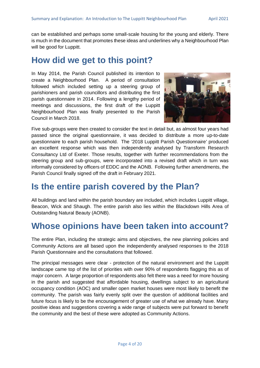can be established and perhaps some small-scale housing for the young and elderly. There is much in the document that promotes these ideas and underlines why a Neighbourhood Plan will be good for Luppitt.

## **How did we get to this point?**

In May 2014, the Parish Council published its intention to create a Neighbourhood Plan. A period of consultation followed which included setting up a steering group of parishioners and parish councillors and distributing the first parish questionnaire in 2014. Following a lengthy period of meetings and discussions, the first draft of the Luppitt Neighbourhood Plan was finally presented to the Parish Council in March 2018.



Five sub-groups were then created to consider the text in detail but, as almost four years had passed since the original questionnaire, it was decided to distribute a more up-to-date questionnaire to each parish household. The '2018 Luppitt Parish Questionnaire' produced an excellent response which was then independently analysed by Transform Research Consultancy Ltd of Exeter. Those results, together with further recommendations from the steering group and sub-groups, were incorporated into a revised draft which in turn was informally considered by officers of EDDC and the AONB. Following further amendments, the Parish Council finally signed off the draft in February 2021.

## **Is the entire parish covered by the Plan?**

All buildings and land within the parish boundary are included, which includes Luppitt village, Beacon, Wick and Shaugh. The entire parish also lies within the Blackdown Hills Area of Outstanding Natural Beauty (AONB).

## **Whose opinions have been taken into account?**

The entire Plan, including the strategic aims and objectives, the new planning policies and Community Actions are all based upon the independently analysed responses to the 2018 Parish Questionnaire and the consultations that followed.

The principal messages were clear - protection of the natural environment and the Luppitt landscape came top of the list of priorities with over 90% of respondents flagging this as of major concern. A large proportion of respondents also felt there was a need for more housing in the parish and suggested that affordable housing, dwellings subject to an agricultural occupancy condition (AOC) and smaller open market houses were most likely to benefit the community. The parish was fairly evenly split over the question of additional facilities and future focus is likely to be the encouragement of greater use of what we already have. Many positive ideas and suggestions covering a wide range of subjects were put forward to benefit the community and the best of these were adopted as Community Actions.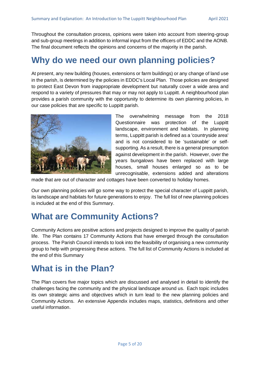Throughout the consultation process, opinions were taken into account from steering-group and sub-group meetings in addition to informal input from the officers of EDDC and the AONB. The final document reflects the opinions and concerns of the majority in the parish.

## **Why do we need our own planning policies?**

At present, any new building (houses, extensions or farm buildings) or any change of land use in the parish, is determined by the policies in EDDC's Local Plan. Those policies are designed to protect East Devon from inappropriate development but naturally cover a wide area and respond to a variety of pressures that may or may not apply to Luppitt. A neighbourhood plan provides a parish community with the opportunity to determine its own planning policies, in our case policies that are specific to Luppitt parish.



The overwhelming message from the 2018 Questionnaire was protection of the Luppitt landscape, environment and habitats. In planning terms, Luppitt parish is defined as a 'countryside area' and is not considered to be 'sustainable' or selfsupporting. As a result, there is a general presumption against development in the parish. However, over the years bungalows have been replaced with large houses, small houses enlarged so as to be unrecognisable, extensions added and alterations

made that are out of character and cottages have been converted to holiday homes.

Our own planning policies will go some way to protect the special character of Luppitt parish, its landscape and habitats for future generations to enjoy. The full list of new planning policies is included at the end of this Summary.

## **What are Community Actions?**

Community Actions are positive actions and projects designed to improve the quality of parish life. The Plan contains 17 Community Actions that have emerged through the consultation process. The Parish Council intends to look into the feasibility of organising a new community group to help with progressing these actions. The full list of Community Actions is included at the end of this Summary

## **What is in the Plan?**

The Plan covers five major topics which are discussed and analysed in detail to identify the challenges facing the community and the physical landscape around us. Each topic includes its own strategic aims and objectives which in turn lead to the new planning policies and Community Actions. An extensive Appendix includes maps, statistics, definitions and other useful information.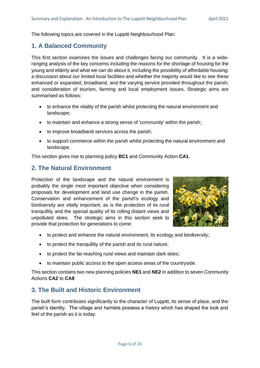The following topics are covered in the Luppitt Neighbourhood Plan:

#### **1. A Balanced Community**

This first section examines the issues and challenges facing our community. It is a wideranging analysis of the key concerns including the reasons for the shortage of housing for the young and elderly and what we can do about it, including the possibility of affordable housing; a discussion about our limited local facilities and whether the majority would like to see these enhanced or expanded; broadband, and the varying service provided throughout the parish; and consideration of tourism, farming and local employment issues. Strategic aims are summarised as follows:

- to enhance the vitality of the parish whilst protecting the natural environment and landscape;
- to maintain and enhance a strong sense of 'community' within the parish;
- to improve broadband services across the parish;
- to support commerce within the parish whilst protecting the natural environment and landscape.

This section gives rise to planning policy **BC1** and Community Action **CA1**.

#### **2. The Natural Environment**

Protection of the landscape and the natural environment is probably the single most important objective when considering proposals for development and land use change in the parish. Conservation and enhancement of the parish's ecology and biodiversity are vitally important, as is the protection of its rural tranquillity and the special quality of its rolling distant views and unpolluted skies. The strategic aims in this section seek to provide that protection for generations to come:



- to protect and enhance the natural environment, its ecology and biodiversity;
- to protect the tranquillity of the parish and its rural nature;
- to protect the far-reaching rural views and maintain dark skies;
- to maintain public access to the open access areas of the countryside.

This section contains two new planning policies **NE1** and **NE2** in addition to seven Community Actions **CA2** to **CA8**

#### **3. The Built and Historic Environment**

The built form contributes significantly to the character of Luppitt, its sense of place, and the parish's identity. The village and hamlets possess a history which has shaped the look and feel of the parish as it is today.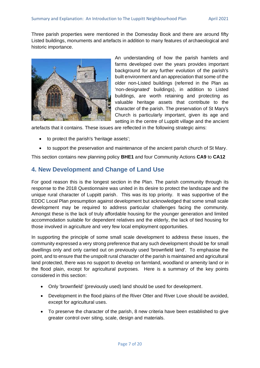Three parish properties were mentioned in the Domesday Book and there are around fifty Listed buildings, monuments and artefacts in addition to many features of archaeological and historic importance.



An understanding of how the parish hamlets and farms developed over the years provides important background for any further evolution of the parish's built environment and an appreciation that some of the older non-Listed buildings (referred in the Plan as 'non-designated' buildings), in addition to Listed buildings, are worth retaining and protecting as valuable heritage assets that contribute to the character of the parish. The preservation of St Mary's Church is particularly important, given its age and setting in the centre of Luppitt village and the ancient

artefacts that it contains. These issues are reflected in the following strategic aims:

- to protect the parish's 'heritage assets';
- to support the preservation and maintenance of the ancient parish church of St Mary.

This section contains new planning policy **BHE1** and four Community Actions **CA9** to **CA12**

#### **4. New Development and Change of Land Use**

For good reason this is the longest section in the Plan. The parish community through its response to the 2018 Questionnaire was united in its desire to protect the landscape and the unique rural character of Luppitt parish. This was its top priority. It was supportive of the EDDC Local Plan presumption against development but acknowledged that some small scale development may be required to address particular challenges facing the community. Amongst these is the lack of truly affordable housing for the younger generation and limited accommodation suitable for dependent relatives and the elderly, the lack of tied housing for those involved in agriculture and very few local employment opportunities.

In supporting the principle of some small scale development to address these issues, the community expressed a very strong preference that any such development should be for small dwellings only and only carried out on previously used 'brownfield land'. To emphasise the point, and to ensure that the unspoilt rural character of the parish is maintained and agricultural land protected, there was no support to develop on farmland, woodland or amenity land or in the flood plain, except for agricultural purposes. Here is a summary of the key points considered in this section:

- Only 'brownfield' (previously used) land should be used for development.
- Development in the flood plains of the River Otter and River Love should be avoided, except for agricultural uses.
- To preserve the character of the parish, 8 new criteria have been established to give greater control over siting, scale, design and materials.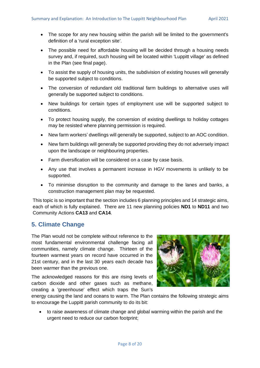- The scope for any new housing within the parish will be limited to the government's definition of a 'rural exception site'.
- The possible need for affordable housing will be decided through a housing needs survey and, if required, such housing will be located within 'Luppitt village' as defined in the Plan (see final page).
- To assist the supply of housing units, the subdivision of existing houses will generally be supported subject to conditions.
- The conversion of redundant old traditional farm buildings to alternative uses will generally be supported subject to conditions.
- New buildings for certain types of employment use will be supported subject to conditions.
- To protect housing supply, the conversion of existing dwellings to holiday cottages may be resisted where planning permission is required.
- New farm workers' dwellings will generally be supported, subject to an AOC condition.
- New farm buildings will generally be supported providing they do not adversely impact upon the landscape or neighbouring properties.
- Farm diversification will be considered on a case by case basis.
- Any use that involves a permanent increase in HGV movements is unlikely to be supported.
- To minimise disruption to the community and damage to the lanes and banks, a construction management plan may be requested.

This topic is so important that the section includes 6 planning principles and 14 strategic aims, each of which is fully explained. There are 11 new planning policies **ND1** to **ND11** and two Community Actions **CA13** and **CA14**.

#### **5. Climate Change**

The Plan would not be complete without reference to the most fundamental environmental challenge facing all communities, namely climate change. Thirteen of the fourteen warmest years on record have occurred in the 21st century, and in the last 30 years each decade has been warmer than the previous one.

The acknowledged reasons for this are rising levels of carbon dioxide and other gases such as methane, creating a 'greenhouse' effect which traps the Sun's



energy causing the land and oceans to warm. The Plan contains the following strategic aims to encourage the Luppitt parish community to do its bit:

• to raise awareness of climate change and global warming within the parish and the urgent need to reduce our carbon footprint;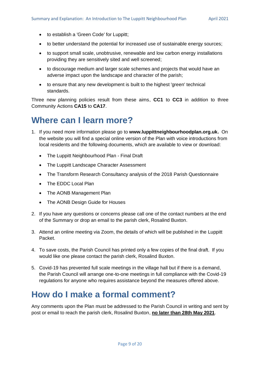- to establish a 'Green Code' for Luppitt;
- to better understand the potential for increased use of sustainable energy sources;
- to support small scale, unobtrusive, renewable and low carbon energy installations providing they are sensitively sited and well screened;
- to discourage medium and larger scale schemes and projects that would have an adverse impact upon the landscape and character of the parish;
- to ensure that any new development is built to the highest 'green' technical standards.

Three new planning policies result from these aims, **CC1** to **CC3** in addition to three Community Actions **CA15** to **CA17**.

## **Where can I learn more?**

- 1. If you need more information please go to **www.luppittneighbourhoodplan.org.uk.** On the website you will find a special online version of the Plan with voice introductions from local residents and the following documents, which are available to view or download:
	- The Luppitt Neighbourhood Plan Final Draft
	- The Luppitt Landscape Character Assessment
	- The Transform Research Consultancy analysis of the 2018 Parish Questionnaire
	- The EDDC Local Plan
	- The AONB Management Plan
	- The AONB Design Guide for Houses
- 2. If you have any questions or concerns please call one of the contact numbers at the end of the Summary or drop an email to the parish clerk, Rosalind Buxton.
- 3. Attend an online meeting via Zoom, the details of which will be published in the Luppitt Packet.
- 4. To save costs, the Parish Council has printed only a few copies of the final draft. If you would like one please contact the parish clerk, Rosalind Buxton.
- 5. Covid-19 has prevented full scale meetings in the village hall but if there is a demand, the Parish Council will arrange one-to-one meetings in full compliance with the Covid-19 regulations for anyone who requires assistance beyond the measures offered above.

## **How do I make a formal comment?**

Any comments upon the Plan must be addressed to the Parish Council in writing and sent by post or email to reach the parish clerk, Rosalind Buxton, **no later than 28th May 2021**.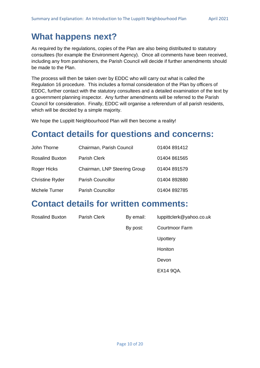## **What happens next?**

As required by the regulations, copies of the Plan are also being distributed to statutory consultees (for example the Environment Agency). Once all comments have been received, including any from parishioners, the Parish Council will decide if further amendments should be made to the Plan.

The process will then be taken over by EDDC who will carry out what is called the Regulation 16 procedure. This includes a formal consideration of the Plan by officers of EDDC, further contact with the statutory consultees and a detailed examination of the text by a government planning inspector. Any further amendments will be referred to the Parish Council for consideration. Finally, EDDC will organise a referendum of all parish residents, which will be decided by a simple majority.

We hope the Luppitt Neighbourhood Plan will then become a reality!

## **Contact details for questions and concerns:**

| John Thorne            | Chairman, Parish Council     | 01404 891412 |
|------------------------|------------------------------|--------------|
| <b>Rosalind Buxton</b> | Parish Clerk                 | 01404 861565 |
| Roger Hicks            | Chairman, LNP Steering Group | 01404 891579 |
| <b>Christine Ryder</b> | <b>Parish Councillor</b>     | 01404 892880 |
| Michele Turner         | <b>Parish Councillor</b>     | 01404 892785 |

### **Contact details for written comments:**

| <b>Rosalind Buxton</b> | Parish Clerk | By email: | luppittclerk@yahoo.co.uk |
|------------------------|--------------|-----------|--------------------------|
|                        |              | By post:  | <b>Courtmoor Farm</b>    |
|                        |              |           | Upottery                 |
|                        |              |           | Honiton                  |
|                        |              |           | Devon                    |
|                        |              |           | EX14 9QA.                |
|                        |              |           |                          |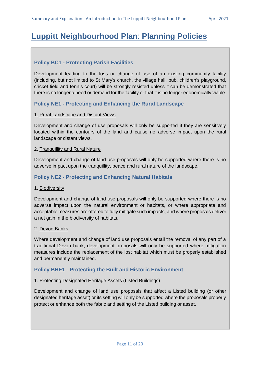## **Luppitt Neighbourhood Plan**: **Planning Policies**

#### **Policy BC1 - Protecting Parish Facilities**

Development leading to the loss or change of use of an existing community facility (including, but not limited to St Mary's church, the village hall, pub, children's playground, cricket field and tennis court) will be strongly resisted unless it can be demonstrated that there is no longer a need or demand for the facility or that it is no longer economically viable.

#### **Policy NE1 - Protecting and Enhancing the Rural Landscape**

#### 1. Rural Landscape and Distant Views

Development and change of use proposals will only be supported if they are sensitively located within the contours of the land and cause no adverse impact upon the rural landscape or distant views.

#### 2. Tranquillity and Rural Nature

Development and change of land use proposals will only be supported where there is no adverse impact upon the tranquillity, peace and rural nature of the landscape.

#### **Policy NE2 - Protecting and Enhancing Natural Habitats**

#### 1. Biodiversity

Development and change of land use proposals will only be supported where there is no adverse impact upon the natural environment or habitats, or where appropriate and acceptable measures are offered to fully mitigate such impacts, and where proposals deliver a net gain in the biodiversity of habitats.

#### 2. Devon Banks

Where development and change of land use proposals entail the removal of any part of a traditional Devon bank, development proposals will only be supported where mitigation measures include the replacement of the lost habitat which must be properly established and permanently maintained.

#### **Policy BHE1 - Protecting the Built and Historic Environment**

#### 1. Protecting Designated Heritage Assets (Listed Buildings)

Development and change of land use proposals that affect a Listed building (or other designated heritage asset) or its setting will only be supported where the proposals properly protect or enhance both the fabric and setting of the Listed building or asset.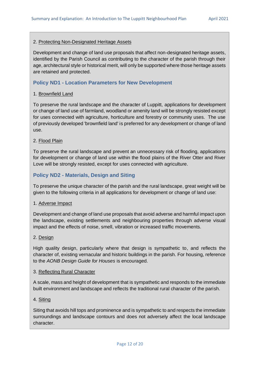#### 2. Protecting Non-Designated Heritage Assets

Development and change of land use proposals that affect non-designated heritage assets, identified by the Parish Council as contributing to the character of the parish through their age, architectural style or historical merit, will only be supported where those heritage assets are retained and protected.

#### **Policy ND1 - Location Parameters for New Development**

#### 1. Brownfield Land

To preserve the rural landscape and the character of Luppitt, applications for development or change of land use of farmland, woodland or amenity land will be strongly resisted except for uses connected with agriculture, horticulture and forestry or community uses. The use of previously developed 'brownfield land' is preferred for any development or change of land use.

#### 2. Flood Plain

To preserve the rural landscape and prevent an unnecessary risk of flooding, applications for development or change of land use within the flood plains of the River Otter and River Love will be strongly resisted, except for uses connected with agriculture.

#### **Policy ND2 - Materials, Design and Siting**

To preserve the unique character of the parish and the rural landscape, great weight will be given to the following criteria in all applications for development or change of land use:

#### 1. Adverse Impact

Development and change of land use proposals that avoid adverse and harmful impact upon the landscape, existing settlements and neighbouring properties through adverse visual impact and the effects of noise, smell, vibration or increased traffic movements.

#### 2. Design

High quality design, particularly where that design is sympathetic to, and reflects the character of, existing vernacular and historic buildings in the parish. For housing, reference to the *AONB Design Guide for Houses* is encouraged.

#### 3. Reflecting Rural Character

A scale, mass and height of development that is sympathetic and responds to the immediate built environment and landscape and reflects the traditional rural character of the parish.

#### 4. Siting

Siting that avoids hill tops and prominence and is sympathetic to and respects the immediate surroundings and landscape contours and does not adversely affect the local landscape character.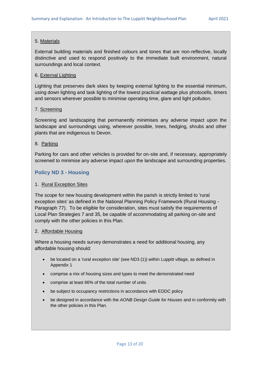#### 5. Materials

External building materials and finished colours and tones that are non-reflective, locally distinctive and used to respond positively to the immediate built environment, natural surroundings and local context.

#### 6. External Lighting

Lighting that preserves dark skies by keeping external lighting to the essential minimum, using down lighting and task lighting of the lowest practical wattage plus photocells, timers and sensors wherever possible to minimise operating time, glare and light pollution.

#### 7. Screening

Screening and landscaping that permanently minimises any adverse impact upon the landscape and surroundings using, wherever possible, trees, hedging, shrubs and other plants that are indigenous to Devon.

#### 8. Parking

Parking for cars and other vehicles is provided for on-site and, if necessary, appropriately screened to minimise any adverse impact upon the landscape and surrounding properties.

#### **Policy ND 3 - Housing**

#### 1. Rural Exception Sites

The scope for new housing development within the parish is strictly limited to 'rural exception sites' as defined in the National Planning Policy Framework (Rural Housing - Paragraph 77). To be eligible for consideration, sites must satisfy the requirements of Local Plan Strategies 7 and 35, be capable of accommodating all parking on-site and comply with the other policies in this Plan.

#### 2. Affordable Housing

Where a housing needs survey demonstrates a need for additional housing, any affordable housing should:

- be located on a 'rural exception site' (see ND3 (1)) within Luppitt village, as defined in Appendix 1
- comprise a mix of housing sizes and types to meet the demonstrated need
- comprise at least 66% of the total number of units
- be subject to occupancy restrictions in accordance with EDDC policy
- be designed in accordance with the *AONB Design Guide for Houses* and in conformity with the other policies in this Plan.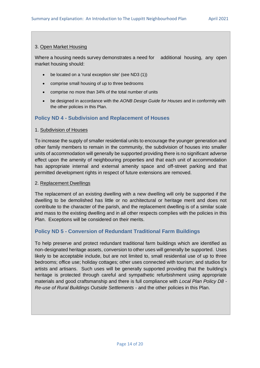#### 3. Open Market Housing

Where a housing needs survey demonstrates a need for additional housing, any open market housing should:

- be located on a 'rural exception site' (see ND3 (1))
- comprise small housing of up to three bedrooms
- comprise no more than 34% of the total number of units
- be designed in accordance with the *AONB Design Guide for Houses* and in conformity with the other policies in this Plan.

#### **Policy ND 4 - Subdivision and Replacement of Houses**

#### 1. Subdivision of Houses

To increase the supply of smaller residential units to encourage the younger generation and other family members to remain in the community, the subdivision of houses into smaller units of accommodation will generally be supported providing there is no significant adverse effect upon the amenity of neighbouring properties and that each unit of accommodation has appropriate internal and external amenity space and off-street parking and that permitted development rights in respect of future extensions are removed.

#### 2. Replacement Dwellings

The replacement of an existing dwelling with a new dwelling will only be supported if the dwelling to be demolished has little or no architectural or heritage merit and does not contribute to the character of the parish, and the replacement dwelling is of a similar scale and mass to the existing dwelling and in all other respects complies with the policies in this Plan. Exceptions will be considered on their merits.

#### **Policy ND 5 - Conversion of Redundant Traditional Farm Buildings**

To help preserve and protect redundant traditional farm buildings which are identified as non-designated heritage assets, conversion to other uses will generally be supported. Uses likely to be acceptable include, but are not limited to, small residential use of up to three bedrooms; office use; holiday cottages; other uses connected with tourism; and studios for artists and artisans. Such uses will be generally supported providing that the building's heritage is protected through careful and sympathetic refurbishment using appropriate materials and good craftsmanship and there is full compliance with *Local Plan Policy D8 - Re-use of Rural Buildings Outside Settlements* - and the other policies in this Plan.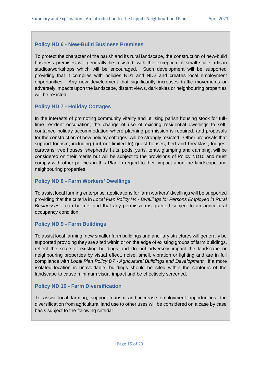#### **Policy ND 6 - New-Build Business Premises**

To protect the character of the parish and its rural landscape, the construction of new-build business premises will generally be resisted, with the exception of small-scale artisan studios/workshops which will be encouraged. Such development will be supported providing that it complies with policies ND1 and ND2 and creates local employment opportunities. Any new development that significantly increases traffic movements or adversely impacts upon the landscape, distant views, dark skies or neighbouring properties will be resisted.

#### **Policy ND 7 - Holiday Cottages**

In the interests of promoting community vitality and utilising parish housing stock for fulltime resident occupation, the change of use of existing residential dwellings to selfcontained holiday accommodation where planning permission is required, and proposals for the construction of new holiday cottages, will be strongly resisted. Other proposals that support tourism, including (but not limited to) guest houses, bed and breakfast, lodges, caravans, tree houses, shepherds' huts, pods, yurts, tents, glamping and camping, will be considered on their merits but will be subject to the provisions of Policy ND10 and must comply with other policies in this Plan in regard to their impact upon the landscape and neighbouring properties.

#### **Policy ND 8 - Farm Workers' Dwellings**

To assist local farming enterprise, applications for farm workers' dwellings will be supported providing that the criteria in *Local Plan Policy H4 - Dwellings for Persons Employed in Rural Businesses* - can be met and that any permission is granted subject to an agricultural occupancy condition.

#### **Policy ND 9 - Farm Buildings**

To assist local farming, new smaller farm buildings and ancillary structures will generally be supported providing they are sited within or on the edge of existing groups of farm buildings, reflect the scale of existing buildings and do not adversely impact the landscape or neighbouring properties by visual effect, noise, smell, vibration or lighting and are in full compliance with *Local Plan Policy D7 - Agricultural Buildings and Development.* If a more isolated location is unavoidable, buildings should be sited within the contours of the landscape to cause minimum visual impact and be effectively screened.

#### **Policy ND 10 - Farm Diversification**

To assist local farming, support tourism and increase employment opportunities, the diversification from agricultural land use to other uses will be considered on a case by case basis subject to the following criteria: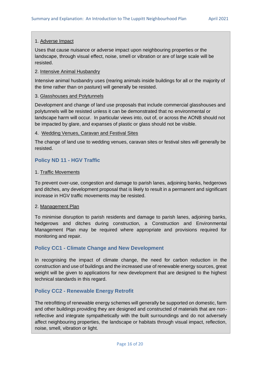#### 1. Adverse Impact

Uses that cause nuisance or adverse impact upon neighbouring properties or the landscape, through visual effect, noise, smell or vibration or are of large scale will be resisted.

#### 2. Intensive Animal Husbandry

Intensive animal husbandry uses (rearing animals inside buildings for all or the majority of the time rather than on pasture) will generally be resisted.

#### 3. Glasshouses and Polytunnels

Development and change of land use proposals that include commercial glasshouses and polytunnels will be resisted unless it can be demonstrated that no environmental or landscape harm will occur. In particular views into, out of, or across the AONB should not be impacted by glare, and expanses of plastic or glass should not be visible.

#### 4. Wedding Venues, Caravan and Festival Sites

The change of land use to wedding venues, caravan sites or festival sites will generally be resisted.

#### **Policy ND 11 - HGV Traffic**

#### 1. Traffic Movements

To prevent over-use, congestion and damage to parish lanes, adjoining banks, hedgerows and ditches, any development proposal that is likely to result in a permanent and significant increase in HGV traffic movements may be resisted.

#### 2. Management Plan

To minimise disruption to parish residents and damage to parish lanes, adjoining banks, hedgerows and ditches during construction, a Construction and Environmental Management Plan may be required where appropriate and provisions required for monitoring and repair.

#### **Policy CC1 - Climate Change and New Development**

In recognising the impact of climate change, the need for carbon reduction in the construction and use of buildings and the increased use of renewable energy sources, great weight will be given to applications for new development that are designed to the highest technical standards in this regard.

#### **Policy CC2 - Renewable Energy Retrofit**

The retrofitting of renewable energy schemes will generally be supported on domestic, farm and other buildings providing they are designed and constructed of materials that are nonreflective and integrate sympathetically with the built surroundings and do not adversely affect neighbouring properties, the landscape or habitats through visual impact, reflection, noise, smell, vibration or light.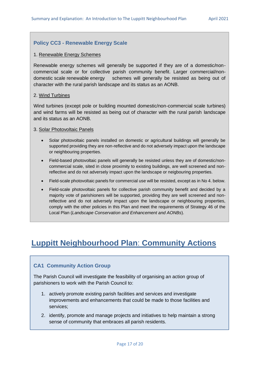#### **Policy CC3 - Renewable Energy Scale**

#### 1. Renewable Energy Schemes

Renewable energy schemes will generally be supported if they are of a domestic/noncommercial scale or for collective parish community benefit. Larger commercial/nondomestic scale renewable energy schemes will generally be resisted as being out of character with the rural parish landscape and its status as an AONB.

#### 2. Wind Turbines

Wind turbines (except pole or building mounted domestic/non-commercial scale turbines) and wind farms will be resisted as being out of character with the rural parish landscape and its status as an AONB.

#### 3. Solar Photovoltaic Panels

- Solar photovoltaic panels installed on domestic or agricultural buildings will generally be supported providing they are non-reflective and do not adversely impact upon the landscape or neighbouring properties.
- Field-based photovoltaic panels will generally be resisted unless they are of domestic/noncommercial scale, sited in close proximity to existing buildings, are well screened and nonreflective and do not adversely impact upon the landscape or neigbouring properties.
- Field-scale photovoltaic panels for commercial use will be resisted, except as in No 4. below.
- Field-scale photovoltaic panels for collective parish community benefit and decided by a majority vote of parishioners will be supported, providing they are well screened and nonreflective and do not adversely impact upon the landscape or neighbouring properties, comply with the other policies in this Plan and meet the requirements of Strategy 46 of the Local Plan (*Landscape Conservation and Enhancement and AONBs*).

## **Luppitt Neighbourhood Plan**: **Community Actions**

#### **CA1 Community Action Group**

The Parish Council will investigate the feasibility of organising an action group of parishioners to work with the Parish Council to:

- 1. actively promote existing parish facilities and services and investigate improvements and enhancements that could be made to those facilities and services;
- 2. identify, promote and manage projects and initiatives to help maintain a strong sense of community that embraces all parish residents.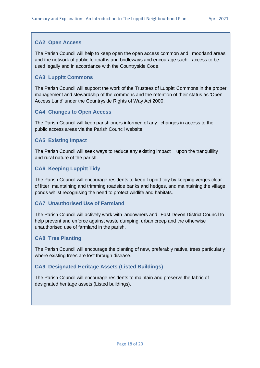#### **CA2 Open Access**

The Parish Council will help to keep open the open access common and moorland areas and the network of public footpaths and bridleways and encourage such access to be used legally and in accordance with the Countryside Code.

#### **CA3 Luppitt Commons**

The Parish Council will support the work of the Trustees of Luppitt Commons in the proper management and stewardship of the commons and the retention of their status as 'Open Access Land' under the Countryside Rights of Way Act 2000.

#### **CA4 Changes to Open Access**

The Parish Council will keep parishioners informed of any changes in access to the public access areas via the Parish Council website.

#### **CA5 Existing Impact**

The Parish Council will seek ways to reduce any existing impact upon the tranquillity and rural nature of the parish.

#### **CA6 Keeping Luppitt Tidy**

The Parish Council will encourage residents to keep Luppitt tidy by keeping verges clear of litter, maintaining and trimming roadside banks and hedges, and maintaining the village ponds whilst recognising the need to protect wildlife and habitats.

#### **CA7 Unauthorised Use of Farmland**

The Parish Council will actively work with landowners and East Devon District Council to help prevent and enforce against waste dumping, urban creep and the otherwise unauthorised use of farmland in the parish.

#### **CA8 Tree Planting**

The Parish Council will encourage the planting of new, preferably native, trees particularly where existing trees are lost through disease.

#### **CA9 Designated Heritage Assets (Listed Buildings)**

The Parish Council will encourage residents to maintain and preserve the fabric of designated heritage assets (Listed buildings).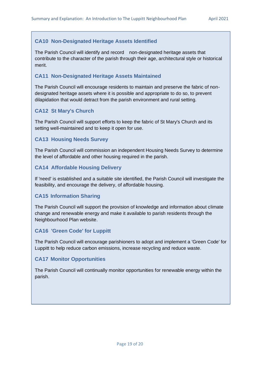#### **CA10 Non-Designated Heritage Assets Identified**

The Parish Council will identify and record non-designated heritage assets that contribute to the character of the parish through their age, architectural style or historical merit.

#### **CA11 Non-Designated Heritage Assets Maintained**

The Parish Council will encourage residents to maintain and preserve the fabric of nondesignated heritage assets where it is possible and appropriate to do so, to prevent dilapidation that would detract from the parish environment and rural setting.

#### **CA12 St Mary's Church**

The Parish Council will support efforts to keep the fabric of St Mary's Church and its setting well-maintained and to keep it open for use.

#### **CA13 Housing Needs Survey**

The Parish Council will commission an independent Housing Needs Survey to determine the level of affordable and other housing required in the parish.

#### **CA14 Affordable Housing Delivery**

If 'need' is established and a suitable site identified, the Parish Council will investigate the feasibility, and encourage the delivery, of affordable housing.

#### **CA15 Information Sharing**

The Parish Council will support the provision of knowledge and information about climate change and renewable energy and make it available to parish residents through the Neighbourhood Plan website.

#### **CA16 'Green Code' for Luppitt**

The Parish Council will encourage parishioners to adopt and implement a 'Green Code' for Luppitt to help reduce carbon emissions, increase recycling and reduce waste.

#### **CA17 Monitor Opportunities**

The Parish Council will continually monitor opportunities for renewable energy within the parish.